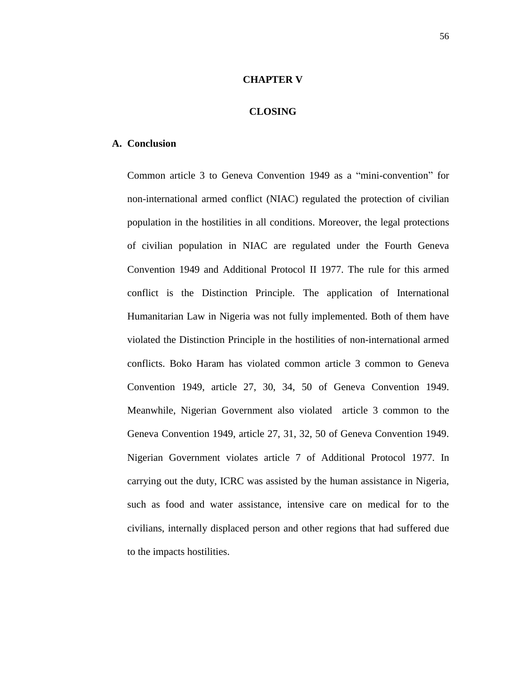## **CHAPTER V**

## **CLOSING**

## **A. Conclusion**

Common article 3 to Geneva Convention 1949 as a "mini-convention" for non-international armed conflict (NIAC) regulated the protection of civilian population in the hostilities in all conditions. Moreover, the legal protections of civilian population in NIAC are regulated under the Fourth Geneva Convention 1949 and Additional Protocol II 1977. The rule for this armed conflict is the Distinction Principle. The application of International Humanitarian Law in Nigeria was not fully implemented. Both of them have violated the Distinction Principle in the hostilities of non-international armed conflicts. Boko Haram has violated common article 3 common to Geneva Convention 1949, article 27, 30, 34, 50 of Geneva Convention 1949. Meanwhile, Nigerian Government also violated article 3 common to the Geneva Convention 1949, article 27, 31, 32, 50 of Geneva Convention 1949. Nigerian Government violates article 7 of Additional Protocol 1977. In carrying out the duty, ICRC was assisted by the human assistance in Nigeria, such as food and water assistance, intensive care on medical for to the civilians, internally displaced person and other regions that had suffered due to the impacts hostilities.